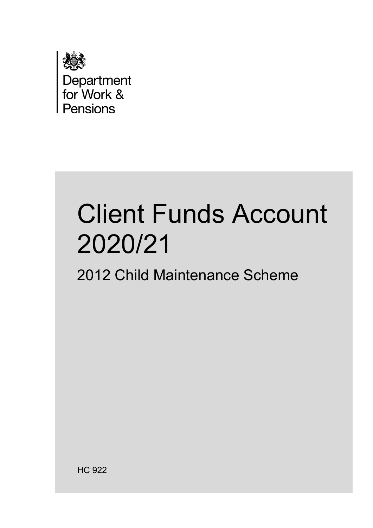

# Client Funds Account 2020/21

2012 Child Maintenance Scheme

HC 922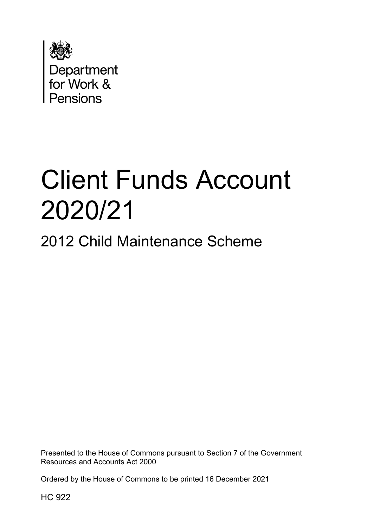

Department<br>for Work &<br>Pensions

# Client Funds Account 2020/21

## 2012 Child Maintenance Scheme

Presented to the House of Commons pursuant to Section 7 of the Government Resources and Accounts Act 2000

Ordered by the House of Commons to be printed 16 December 2021

HC 922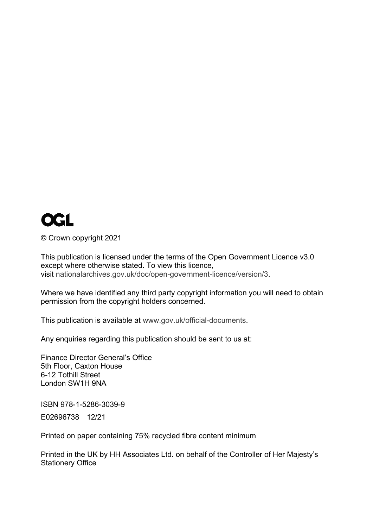

© Crown copyright 2021

This publication is licensed under the terms of the Open Government Licence v3.0 except where otherwise stated. To view this licence, visit [nationalarchives.gov.uk/doc/open-government-licence/version/3.](http://www.nationalarchives.gov.uk/doc/open-government-licence/version/3)

Where we have identified any third party copyright information you will need to obtain permission from the copyright holders concerned.

This publication is available at [www.gov.uk/official-documents.](https://www.gov.uk/government/publications)

Any enquiries regarding this publication should be sent to us at:

Finance Director General's Office 5th Floor, Caxton House 6-12 Tothill Street London SW1H 9NA

ISBN 978-1-5286-3039-9 E02696738 12/21

Printed on paper containing 75% recycled fibre content minimum

Printed in the UK by HH Associates Ltd. on behalf of the Controller of Her Majesty's Stationery Office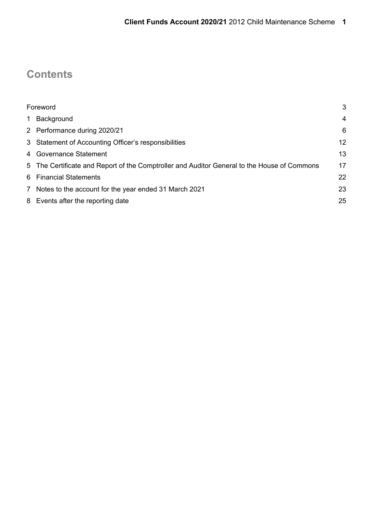## **Contents**

| Foreword                                                                                    | 3  |
|---------------------------------------------------------------------------------------------|----|
| 1 Background                                                                                | 4  |
| 2 Performance during 2020/21                                                                | 6  |
| 3 Statement of Accounting Officer's responsibilities                                        | 12 |
| 4 Governance Statement                                                                      | 13 |
| 5 The Certificate and Report of the Comptroller and Auditor General to the House of Commons | 17 |
| 6 Financial Statements                                                                      | 22 |
| 7 Notes to the account for the year ended 31 March 2021                                     | 23 |
| 8 Events after the reporting date                                                           | 25 |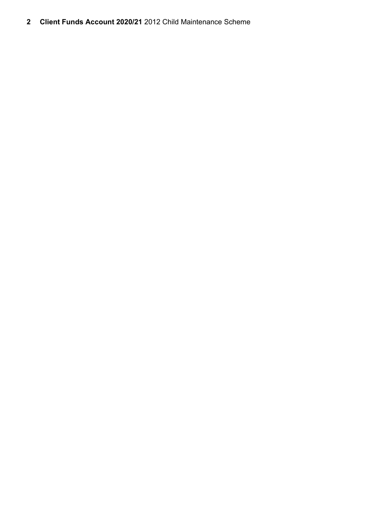**Client Funds Account 2020/21** 2012 Child Maintenance Scheme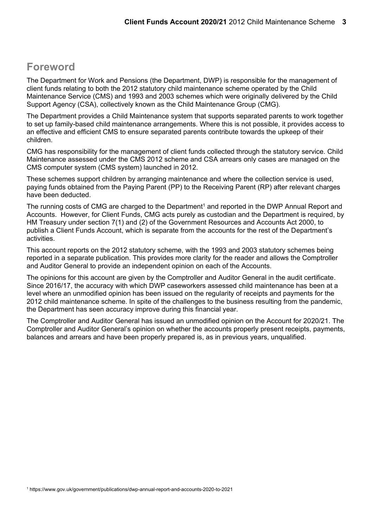### **Foreword**

The Department for Work and Pensions (the Department, DWP) is responsible for the management of client funds relating to both the 2012 statutory child maintenance scheme operated by the Child Maintenance Service (CMS) and 1993 and 2003 schemes which were originally delivered by the Child Support Agency (CSA), collectively known as the Child Maintenance Group (CMG).

The Department provides a Child Maintenance system that supports separated parents to work together to set up family-based child maintenance arrangements. Where this is not possible, it provides access to an effective and efficient CMS to ensure separated parents contribute towards the upkeep of their children.

CMG has responsibility for the management of client funds collected through the statutory service. Child Maintenance assessed under the CMS 2012 scheme and CSA arrears only cases are managed on the CMS computer system (CMS system) launched in 2012.

These schemes support children by arranging maintenance and where the collection service is used, paying funds obtained from the Paying Parent (PP) to the Receiving Parent (RP) after relevant charges have been deducted.

The running costs of CMG are charged to the Department<sup>1</sup> and reported in the DWP Annual Report and Accounts. However, for Client Funds, CMG acts purely as custodian and the Department is required, by HM Treasury under section 7(1) and (2) of the Government Resources and Accounts Act 2000, to publish a Client Funds Account, which is separate from the accounts for the rest of the Department's activities.

This account reports on the 2012 statutory scheme, with the 1993 and 2003 statutory schemes being reported in a separate publication. This provides more clarity for the reader and allows the Comptroller and Auditor General to provide an independent opinion on each of the Accounts.

The opinions for this account are given by the Comptroller and Auditor General in the audit certificate. Since 2016/17, the accuracy with which DWP caseworkers assessed child maintenance has been at a level where an unmodified opinion has been issued on the regularity of receipts and payments for the 2012 child maintenance scheme. In spite of the challenges to the business resulting from the pandemic, the Department has seen accuracy improve during this financial year.

The Comptroller and Auditor General has issued an unmodified opinion on the Account for 2020/21. The Comptroller and Auditor General's opinion on whether the accounts properly present receipts, payments, balances and arrears and have been properly prepared is, as in previous years, unqualified.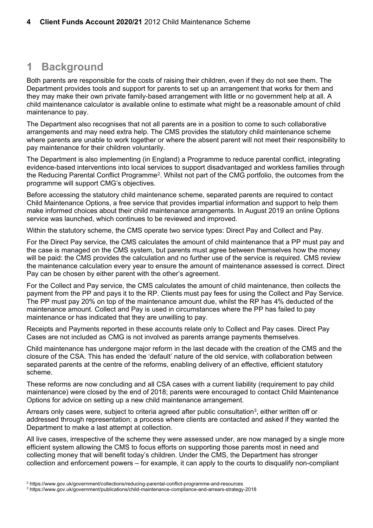## **1 Background**

Both parents are responsible for the costs of raising their children, even if they do not see them. The Department provides tools and support for parents to set up an arrangement that works for them and they may make their own private family-based arrangement with little or no government help at all. A child maintenance calculator is available online to estimate what might be a reasonable amount of child maintenance to pay.

The Department also recognises that not all parents are in a position to come to such collaborative arrangements and may need extra help. The CMS provides the statutory child maintenance scheme where parents are unable to work together or where the absent parent will not meet their responsibility to pay maintenance for their children voluntarily.

The Department is also implementing (in England) a Programme to reduce parental conflict, integrating evidence-based interventions into local services to support disadvantaged and workless families through the Reducing Parental Conflict Programme<sup>2</sup>. Whilst not part of the CMG portfolio, the outcomes from the programme will support CMG's objectives.

Before accessing the statutory child maintenance scheme, separated parents are required to contact Child Maintenance Options, a free service that provides impartial information and support to help them make informed choices about their child maintenance arrangements. In August 2019 an online Options service was launched, which continues to be reviewed and improved.

Within the statutory scheme, the CMS operate two service types: Direct Pay and Collect and Pay.

For the Direct Pay service, the CMS calculates the amount of child maintenance that a PP must pay and the case is managed on the CMS system, but parents must agree between themselves how the money will be paid: the CMS provides the calculation and no further use of the service is required. CMS review the maintenance calculation every year to ensure the amount of maintenance assessed is correct. Direct Pay can be chosen by either parent with the other's agreement.

For the Collect and Pay service, the CMS calculates the amount of child maintenance, then collects the payment from the PP and pays it to the RP. Clients must pay fees for using the Collect and Pay Service. The PP must pay 20% on top of the maintenance amount due, whilst the RP has 4% deducted of the maintenance amount. Collect and Pay is used in circumstances where the PP has failed to pay maintenance or has indicated that they are unwilling to pay.

Receipts and Payments reported in these accounts relate only to Collect and Pay cases. Direct Pay Cases are not included as CMG is not involved as parents arrange payments themselves.

Child maintenance has undergone major reform in the last decade with the creation of the CMS and the closure of the CSA. This has ended the 'default' nature of the old service, with collaboration between separated parents at the centre of the reforms, enabling delivery of an effective, efficient statutory scheme.

These reforms are now concluding and all CSA cases with a current liability (requirement to pay child maintenance) were closed by the end of 2018; parents were encouraged to contact Child Maintenance Options for advice on setting up a new child maintenance arrangement.

Arrears only cases were, subject to criteria agreed after public consultation $^3$ , either written off or addressed through representation; a process where clients are contacted and asked if they wanted the Department to make a last attempt at collection.

All live cases, irrespective of the scheme they were assessed under, are now managed by a single more efficient system allowing the CMS to focus efforts on supporting those parents most in need and collecting money that will benefit today's children. Under the CMS, the Department has stronger collection and enforcement powers – for example, it can apply to the courts to disqualify non-compliant

<sup>2</sup> https://www.gov.uk/government/collections/reducing-parental-conflict-programme-and-resources

<sup>3</sup> https://www.gov.uk/government/publications/child-maintenance-compliance-and-arrears-strategy-2018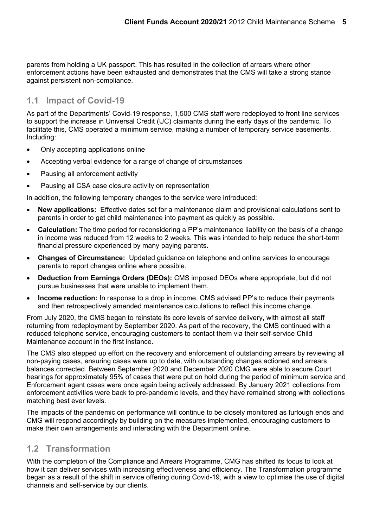parents from holding a UK passport. This has resulted in the collection of arrears where other enforcement actions have been exhausted and demonstrates that the CMS will take a strong stance against persistent non-compliance.

#### **1.1 Impact of Covid-19**

As part of the Departments' Covid-19 response, 1,500 CMS staff were redeployed to front line services to support the increase in Universal Credit (UC) claimants during the early days of the pandemic. To facilitate this, CMS operated a minimum service, making a number of temporary service easements. Including:

- Only accepting applications online
- Accepting verbal evidence for a range of change of circumstances
- Pausing all enforcement activity
- Pausing all CSA case closure activity on representation

In addition, the following temporary changes to the service were introduced:

- **New applications:** Effective dates set for a maintenance claim and provisional calculations sent to parents in order to get child maintenance into payment as quickly as possible.
- **Calculation:** The time period for reconsidering a PP's maintenance liability on the basis of a change in income was reduced from 12 weeks to 2 weeks. This was intended to help reduce the short-term financial pressure experienced by many paying parents.
- **Changes of Circumstance:** Updated guidance on telephone and online services to encourage parents to report changes online where possible.
- **Deduction from Earnings Orders (DEOs):** CMS imposed DEOs where appropriate, but did not pursue businesses that were unable to implement them.
- **Income reduction:** In response to a drop in income, CMS advised PP's to reduce their payments and then retrospectively amended maintenance calculations to reflect this income change.

From July 2020, the CMS began to reinstate its core levels of service delivery, with almost all staff returning from redeployment by September 2020. As part of the recovery, the CMS continued with a reduced telephone service, encouraging customers to contact them via their self-service Child Maintenance account in the first instance.

The CMS also stepped up effort on the recovery and enforcement of outstanding arrears by reviewing all non-paying cases, ensuring cases were up to date, with outstanding changes actioned and arrears balances corrected. Between September 2020 and December 2020 CMG were able to secure Court hearings for approximately 95% of cases that were put on hold during the period of minimum service and Enforcement agent cases were once again being actively addressed. By January 2021 collections from enforcement activities were back to pre-pandemic levels, and they have remained strong with collections matching best ever levels.

The impacts of the pandemic on performance will continue to be closely monitored as furlough ends and CMG will respond accordingly by building on the measures implemented, encouraging customers to make their own arrangements and interacting with the Department online.

#### **1.2 Transformation**

With the completion of the Compliance and Arrears Programme, CMG has shifted its focus to look at how it can deliver services with increasing effectiveness and efficiency. The Transformation programme began as a result of the shift in service offering during Covid-19, with a view to optimise the use of digital channels and self-service by our clients.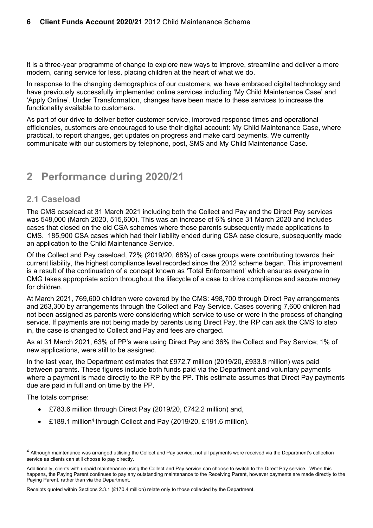It is a three-year programme of change to explore new ways to improve, streamline and deliver a more modern, caring service for less, placing children at the heart of what we do.

In response to the changing demographics of our customers, we have embraced digital technology and have previously successfully implemented online services including 'My Child Maintenance Case' and 'Apply Online'. Under Transformation, changes have been made to these services to increase the functionality available to customers.

As part of our drive to deliver better customer service, improved response times and operational efficiencies, customers are encouraged to use their digital account: My Child Maintenance Case, where practical, to report changes, get updates on progress and make card payments. We currently communicate with our customers by telephone, post, SMS and My Child Maintenance Case.

## **2 Performance during 2020/21**

#### **2.1 Caseload**

The CMS caseload at 31 March 2021 including both the Collect and Pay and the Direct Pay services was 548,000 (March 2020, 515,600). This was an increase of 6% since 31 March 2020 and includes cases that closed on the old CSA schemes where those parents subsequently made applications to CMS. 185,900 CSA cases which had their liability ended during CSA case closure, subsequently made an application to the Child Maintenance Service.

Of the Collect and Pay caseload, 72% (2019/20, 68%) of case groups were contributing towards their current liability, the highest compliance level recorded since the 2012 scheme began. This improvement is a result of the continuation of a concept known as 'Total Enforcement' which ensures everyone in CMG takes appropriate action throughout the lifecycle of a case to drive compliance and secure money for children.

At March 2021, 769,600 children were covered by the CMS: 498,700 through Direct Pay arrangements and 263,300 by arrangements through the Collect and Pay Service. Cases covering 7,600 children had not been assigned as parents were considering which service to use or were in the process of changing service. If payments are not being made by parents using Direct Pay, the RP can ask the CMS to step in, the case is changed to Collect and Pay and fees are charged.

As at 31 March 2021, 63% of PP's were using Direct Pay and 36% the Collect and Pay Service; 1% of new applications, were still to be assigned.

In the last year, the Department estimates that £972.7 million (2019/20, £933.8 million) was paid between parents. These figures include both funds paid via the Department and voluntary payments where a payment is made directly to the RP by the PP. This estimate assumes that Direct Pay payments due are paid in full and on time by the PP.

The totals comprise:

- £783.6 million through Direct Pay (2019/20, £742.2 million) and,
- £189.1 million<sup>4</sup> through Collect and Pay (2019/20, £191.6 million).

Receipts quoted within Sections 2.3.1 (£170.4 million) relate only to those collected by the Department.

<sup>&</sup>lt;sup>4</sup> Although maintenance was arranged utilising the Collect and Pay service, not all payments were received via the Department's collection service as clients can still choose to pay directly.

Additionally, clients with unpaid maintenance using the Collect and Pay service can choose to switch to the Direct Pay service. When this happens, the Paying Parent continues to pay any outstanding maintenance to the Receiving Parent, however payments are made directly to the Paying Parent, rather than via the Department.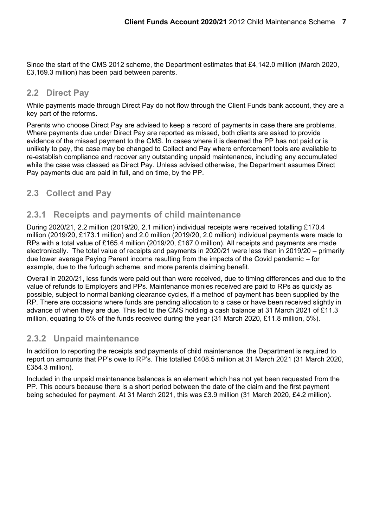Since the start of the CMS 2012 scheme, the Department estimates that £4,142.0 million (March 2020, £3,169.3 million) has been paid between parents.

#### **2.2 Direct Pay**

While payments made through Direct Pay do not flow through the Client Funds bank account, they are a key part of the reforms.

Parents who choose Direct Pay are advised to keep a record of payments in case there are problems. Where payments due under Direct Pay are reported as missed, both clients are asked to provide evidence of the missed payment to the CMS. In cases where it is deemed the PP has not paid or is unlikely to pay, the case may be changed to Collect and Pay where enforcement tools are available to re-establish compliance and recover any outstanding unpaid maintenance, including any accumulated while the case was classed as Direct Pay. Unless advised otherwise, the Department assumes Direct Pay payments due are paid in full, and on time, by the PP.

#### **2.3 Collect and Pay**

#### **2.3.1 Receipts and payments of child maintenance**

During 2020/21, 2.2 million (2019/20, 2.1 million) individual receipts were received totalling £170.4 million (2019/20, £173.1 million) and 2.0 million (2019/20, 2.0 million) individual payments were made to RPs with a total value of £165.4 million (2019/20, £167.0 million). All receipts and payments are made electronically. The total value of receipts and payments in 2020/21 were less than in 2019/20 – primarily due lower average Paying Parent income resulting from the impacts of the Covid pandemic – for example, due to the furlough scheme, and more parents claiming benefit.

Overall in 2020/21, less funds were paid out than were received, due to timing differences and due to the value of refunds to Employers and PPs. Maintenance monies received are paid to RPs as quickly as possible, subject to normal banking clearance cycles, if a method of payment has been supplied by the RP. There are occasions where funds are pending allocation to a case or have been received slightly in advance of when they are due. This led to the CMS holding a cash balance at 31 March 2021 of £11.3 million, equating to 5% of the funds received during the year (31 March 2020, £11.8 million, 5%).

#### **2.3.2 Unpaid maintenance**

In addition to reporting the receipts and payments of child maintenance, the Department is required to report on amounts that PP's owe to RP's. This totalled £408.5 million at 31 March 2021 (31 March 2020, £354.3 million).

Included in the unpaid maintenance balances is an element which has not yet been requested from the PP. This occurs because there is a short period between the date of the claim and the first payment being scheduled for payment. At 31 March 2021, this was £3.9 million (31 March 2020, £4.2 million).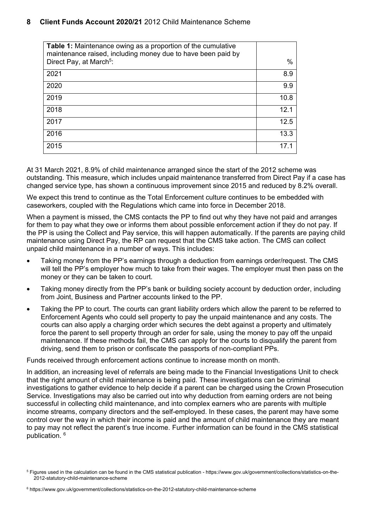#### **8 Client Funds Account 2020/21** 2012 Child Maintenance Scheme

| <b>Table 1:</b> Maintenance owing as a proportion of the cumulative<br>maintenance raised, including money due to have been paid by |               |
|-------------------------------------------------------------------------------------------------------------------------------------|---------------|
| Direct Pay, at March <sup>5</sup> :                                                                                                 | $\frac{0}{0}$ |
| 2021                                                                                                                                | 8.9           |
| 2020                                                                                                                                | 9.9           |
| 2019                                                                                                                                | 10.8          |
| 2018                                                                                                                                | 12.1          |
| 2017                                                                                                                                | 12.5          |
| 2016                                                                                                                                | 13.3          |
| 2015                                                                                                                                | 17.1          |

At 31 March 2021, 8.9% of child maintenance arranged since the start of the 2012 scheme was outstanding. This measure, which includes unpaid maintenance transferred from Direct Pay if a case has changed service type, has shown a continuous improvement since 2015 and reduced by 8.2% overall.

We expect this trend to continue as the Total Enforcement culture continues to be embedded with caseworkers, coupled with the Regulations which came into force in December 2018.

When a payment is missed, the CMS contacts the PP to find out why they have not paid and arranges for them to pay what they owe or informs them about possible enforcement action if they do not pay. If the PP is using the Collect and Pay service, this will happen automatically. If the parents are paying child maintenance using Direct Pay, the RP can request that the CMS take action. The CMS can collect unpaid child maintenance in a number of ways. This includes:

- Taking money from the PP's earnings through a deduction from earnings order/request. The CMS will tell the PP's employer how much to take from their wages. The employer must then pass on the money or they can be taken to court.
- Taking money directly from the PP's bank or building society account by deduction order, including from Joint, Business and Partner accounts linked to the PP.
- Taking the PP to court. The courts can grant liability orders which allow the parent to be referred to Enforcement Agents who could sell property to pay the unpaid maintenance and any costs. The courts can also apply a charging order which secures the debt against a property and ultimately force the parent to sell property through an order for sale, using the money to pay off the unpaid maintenance. If these methods fail, the CMS can apply for the courts to disqualify the parent from driving, send them to prison or confiscate the passports of non-compliant PPs.

Funds received through enforcement actions continue to increase month on month.

In addition, an increasing level of referrals are being made to the Financial Investigations Unit to check that the right amount of child maintenance is being paid. These investigations can be criminal investigations to gather evidence to help decide if a parent can be charged using the Crown Prosecution Service. Investigations may also be carried out into why deduction from earning orders are not being successful in collecting child maintenance, and into complex earners who are parents with multiple income streams, company directors and the self-employed. In these cases, the parent may have some control over the way in which their income is paid and the amount of child maintenance they are meant to pay may not reflect the parent's true income. Further information can be found in the CMS statistical publication. <sup>6</sup>

<sup>&</sup>lt;sup>5</sup> Figures used in the calculation can be found in the CMS statistical publication - [https://www.gov.uk/government/collections/statistics-on-the-](https://www.gov.uk/government/collections/statistics-on-the-2012-statutory-child-maintenance-scheme)[2012-statutory-child-maintenance-scheme](https://www.gov.uk/government/collections/statistics-on-the-2012-statutory-child-maintenance-scheme)

<sup>6</sup> https://www.gov.uk/government/collections/statistics-on-the-2012-statutory-child-maintenance-scheme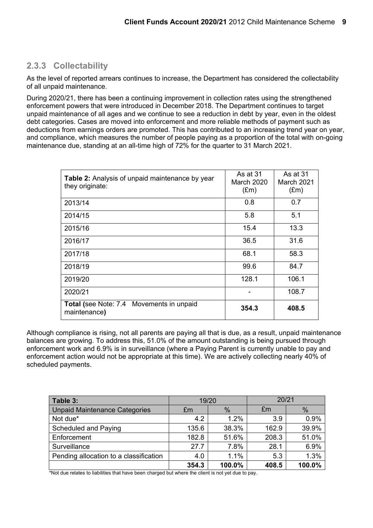#### **2.3.3 Collectability**

As the level of reported arrears continues to increase, the Department has considered the collectability of all unpaid maintenance.

During 2020/21, there has been a continuing improvement in collection rates using the strengthened enforcement powers that were introduced in December 2018. The Department continues to target unpaid maintenance of all ages and we continue to see a reduction in debt by year, even in the oldest debt categories. Cases are moved into enforcement and more reliable methods of payment such as deductions from earnings orders are promoted. This has contributed to an increasing trend year on year, and compliance, which measures the number of people paying as a proportion of the total with on-going maintenance due, standing at an all-time high of 72% for the quarter to 31 March 2021.

| Table 2: Analysis of unpaid maintenance by year<br>they originate: | As at 31<br>March 2020<br>$(\text{Em})$ | As at 31<br><b>March 2021</b><br>$(\text{Em})$ |
|--------------------------------------------------------------------|-----------------------------------------|------------------------------------------------|
| 2013/14                                                            | 0.8                                     | 0.7                                            |
| 2014/15                                                            | 5.8                                     | 5.1                                            |
| 2015/16                                                            | 15.4                                    | 13.3                                           |
| 2016/17                                                            | 36.5                                    | 31.6                                           |
| 2017/18                                                            | 68.1                                    | 58.3                                           |
| 2018/19                                                            | 99.6                                    | 84.7                                           |
| 2019/20                                                            | 128.1                                   | 106.1                                          |
| 2020/21                                                            |                                         | 108.7                                          |
| <b>Total (see Note: 7.4 Movements in unpaid</b><br>maintenance)    | 354.3                                   | 408.5                                          |

Although compliance is rising, not all parents are paying all that is due, as a result, unpaid maintenance balances are growing. To address this, 51.0% of the amount outstanding is being pursued through enforcement work and 6.9% is in surveillance (where a Paying Parent is currently unable to pay and enforcement action would not be appropriate at this time). We are actively collecting nearly 40% of scheduled payments.

| Table 3:                               | 19/20 |               | 20/21 |        |
|----------------------------------------|-------|---------------|-------|--------|
| <b>Unpaid Maintenance Categories</b>   | £m    | $\frac{0}{0}$ | £m    | $\%$   |
| Not due*                               | 4.2   | 1.2%          | 3.9   | 0.9%   |
| Scheduled and Paying                   | 135.6 | 38.3%         | 162.9 | 39.9%  |
| Enforcement                            | 182.8 | 51.6%         | 208.3 | 51.0%  |
| Surveillance                           | 27.7  | 7.8%          | 28.1  | 6.9%   |
| Pending allocation to a classification | 4.0   | 1.1%          | 5.3   | 1.3%   |
|                                        | 354.3 | 100.0%        | 408.5 | 100.0% |

\*Not due relates to liabilities that have been charged but where the client is not yet due to pay.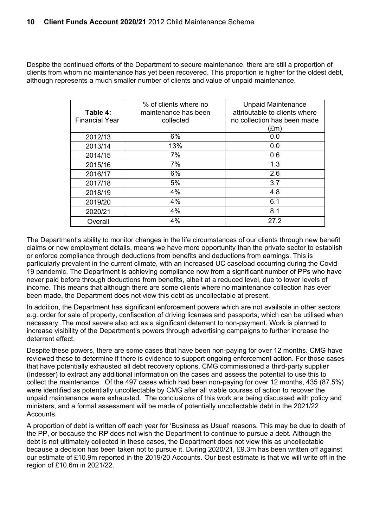Despite the continued efforts of the Department to secure maintenance, there are still a proportion of clients from whom no maintenance has yet been recovered. This proportion is higher for the oldest debt, although represents a much smaller number of clients and value of unpaid maintenance.

| Table 4:<br><b>Financial Year</b> | % of clients where no<br>maintenance has been<br>collected | <b>Unpaid Maintenance</b><br>attributable to clients where<br>no collection has been made |
|-----------------------------------|------------------------------------------------------------|-------------------------------------------------------------------------------------------|
|                                   |                                                            | (£m)                                                                                      |
| 2012/13                           | 6%                                                         | 0.0                                                                                       |
| 2013/14                           | 13%                                                        | 0.0                                                                                       |
| 2014/15                           | 7%                                                         | 0.6                                                                                       |
| 2015/16                           | 7%                                                         | 1.3                                                                                       |
| 2016/17                           | 6%                                                         | 2.6                                                                                       |
| 2017/18                           | 5%                                                         | 3.7                                                                                       |
| 2018/19                           | 4%                                                         | 4.8                                                                                       |
| 2019/20                           | 4%                                                         | 6.1                                                                                       |
| 2020/21                           | 4%                                                         | 8.1                                                                                       |
| Overall                           | 4%                                                         | 27.2                                                                                      |

The Department's ability to monitor changes in the life circumstances of our clients through new benefit claims or new employment details, means we have more opportunity than the private sector to establish or enforce compliance through deductions from benefits and deductions from earnings. This is particularly prevalent in the current climate, with an increased UC caseload occurring during the Covid-19 pandemic. The Department is achieving compliance now from a significant number of PPs who have never paid before through deductions from benefits, albeit at a reduced level, due to lower levels of income. This means that although there are some clients where no maintenance collection has ever been made, the Department does not view this debt as uncollectable at present.

In addition, the Department has significant enforcement powers which are not available in other sectors e.g. order for sale of property, confiscation of driving licenses and passports, which can be utilised when necessary. The most severe also act as a significant deterrent to non-payment. Work is planned to increase visibility of the Department's powers through advertising campaigns to further increase the deterrent effect.

Despite these powers, there are some cases that have been non-paying for over 12 months. CMG have reviewed these to determine if there is evidence to support ongoing enforcement action. For those cases that have potentially exhausted all debt recovery options, CMG commissioned a third-party supplier (Indesser) to extract any additional information on the cases and assess the potential to use this to collect the maintenance. Of the 497 cases which had been non-paying for over 12 months, 435 (87.5%) were identified as potentially uncollectable by CMG after all viable courses of action to recover the unpaid maintenance were exhausted. The conclusions of this work are being discussed with policy and ministers, and a formal assessment will be made of potentially uncollectable debt in the 2021/22 Accounts.

A proportion of debt is written off each year for 'Business as Usual' reasons. This may be due to death of the PP, or because the RP does not wish the Department to continue to pursue a debt. Although the debt is not ultimately collected in these cases, the Department does not view this as uncollectable because a decision has been taken not to pursue it. During 2020/21, £9.3m has been written off against our estimate of £10.9m reported in the 2019/20 Accounts. Our best estimate is that we will write off in the region of £10.6m in 2021/22.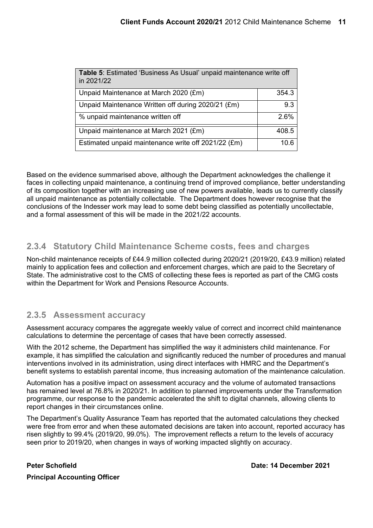| Table 5: Estimated 'Business As Usual' unpaid maintenance write off<br>in 2021/22 |       |  |  |
|-----------------------------------------------------------------------------------|-------|--|--|
| Unpaid Maintenance at March 2020 (£m)                                             | 354.3 |  |  |
| Unpaid Maintenance Written off during 2020/21 (£m)                                | 9.3   |  |  |
| % unpaid maintenance written off                                                  | 2.6%  |  |  |
| Unpaid maintenance at March 2021 (£m)                                             | 408.5 |  |  |
| Estimated unpaid maintenance write off 2021/22 (£m)                               | 10.6  |  |  |

Based on the evidence summarised above, although the Department acknowledges the challenge it faces in collecting unpaid maintenance, a continuing trend of improved compliance, better understanding of its composition together with an increasing use of new powers available, leads us to currently classify all unpaid maintenance as potentially collectable. The Department does however recognise that the conclusions of the Indesser work may lead to some debt being classified as potentially uncollectable, and a formal assessment of this will be made in the 2021/22 accounts.

#### **2.3.4 Statutory Child Maintenance Scheme costs, fees and charges**

Non-child maintenance receipts of £44.9 million collected during 2020/21 (2019/20, £43.9 million) related mainly to application fees and collection and enforcement charges, which are paid to the Secretary of State. The administrative cost to the CMS of collecting these fees is reported as part of the CMG costs within the Department for Work and Pensions Resource Accounts.

#### **2.3.5 Assessment accuracy**

Assessment accuracy compares the aggregate weekly value of correct and incorrect child maintenance calculations to determine the percentage of cases that have been correctly assessed.

With the 2012 scheme, the Department has simplified the way it administers child maintenance. For example, it has simplified the calculation and significantly reduced the number of procedures and manual interventions involved in its administration, using direct interfaces with HMRC and the Department's benefit systems to establish parental income, thus increasing automation of the maintenance calculation.

Automation has a positive impact on assessment accuracy and the volume of automated transactions has remained level at 76.8% in 2020/21. In addition to planned improvements under the Transformation programme, our response to the pandemic accelerated the shift to digital channels, allowing clients to report changes in their circumstances online.

The Department's Quality Assurance Team has reported that the automated calculations they checked were free from error and when these automated decisions are taken into account, reported accuracy has risen slightly to 99.4% (2019/20, 99.0%). The improvement reflects a return to the levels of accuracy seen prior to 2019/20, when changes in ways of working impacted slightly on accuracy.

#### **Peter Schofield Date: 14 December 2021 Principal Accounting Officer**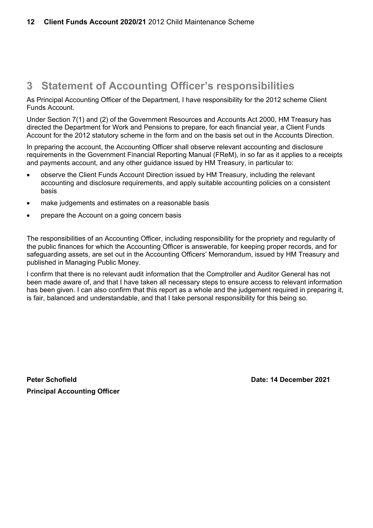## **3 Statement of Accounting Officer's responsibilities**

As Principal Accounting Officer of the Department, I have responsibility for the 2012 scheme Client Funds Account.

Under Section 7(1) and (2) of the Government Resources and Accounts Act 2000, HM Treasury has directed the Department for Work and Pensions to prepare, for each financial year, a Client Funds Account for the 2012 statutory scheme in the form and on the basis set out in the Accounts Direction.

In preparing the account, the Accounting Officer shall observe relevant accounting and disclosure requirements in the Government Financial Reporting Manual (FReM), in so far as it applies to a receipts and payments account, and any other guidance issued by HM Treasury, in particular to:

- observe the Client Funds Account Direction issued by HM Treasury, including the relevant accounting and disclosure requirements, and apply suitable accounting policies on a consistent basis
- make judgements and estimates on a reasonable basis
- prepare the Account on a going concern basis

The responsibilities of an Accounting Officer, including responsibility for the propriety and regularity of the public finances for which the Accounting Officer is answerable, for keeping proper records, and for safeguarding assets, are set out in the Accounting Officers' Memorandum, issued by HM Treasury and published in Managing Public Money.

I confirm that there is no relevant audit information that the Comptroller and Auditor General has not been made aware of, and that I have taken all necessary steps to ensure access to relevant information has been given. I can also confirm that this report as a whole and the judgement required in preparing it, is fair, balanced and understandable, and that I take personal responsibility for this being so.

**Peter Schofield Date: 14 December 2021 Principal Accounting Officer**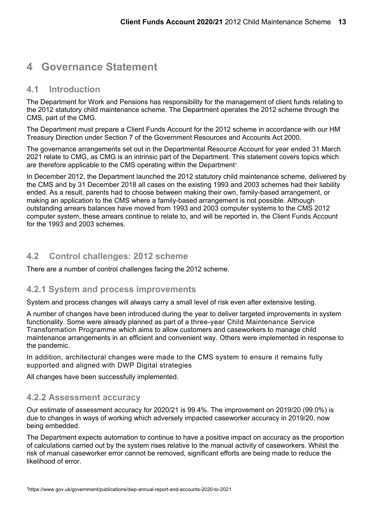## **4 Governance Statement**

#### **4.1 Introduction**

The Department for Work and Pensions has responsibility for the management of client funds relating to the 2012 statutory child maintenance scheme. The Department operates the 2012 scheme through the CMS, part of the CMG.

The Department must prepare a Client Funds Account for the 2012 scheme in accordance with our HM Treasury Direction under Section 7 of the Government Resources and Accounts Act 2000.

The governance arrangements set out in the Departmental Resource Account for year ended 31 March 2021 relate to CMG, as CMG is an intrinsic part of the Department. This statement covers topics which are therefore applicable to the CMS operating within the Department $^{\intercal}$ .

In December 2012, the Department launched the 2012 statutory child maintenance scheme, delivered by the CMS and by 31 December 2018 all cases on the existing 1993 and 2003 schemes had their liability ended. As a result, parents had to choose between making their own, family-based arrangement, or making an application to the CMS where a family-based arrangement is not possible. Although outstanding arrears balances have moved from 1993 and 2003 computer systems to the CMS 2012 computer system, these arrears continue to relate to, and will be reported in, the Client Funds Account for the 1993 and 2003 schemes.

#### **4.2 Control challenges: 2012 scheme**

There are a number of control challenges facing the 2012 scheme.

#### **4.2.1 System and process improvements**

System and process changes will always carry a small level of risk even after extensive testing.

A number of changes have been introduced during the year to deliver targeted improvements in system functionality. Some were already planned as part of a three-year Child Maintenance Service Transformation Programme which aims to allow customers and caseworkers to manage child maintenance arrangements in an efficient and convenient way. Others were implemented in response to the pandemic.

In addition, architectural changes were made to the CMS system to ensure it remains fully supported and aligned with DWP Digital strategies

All changes have been successfully implemented.

#### **4.2.2 Assessment accuracy**

Our estimate of assessment accuracy for 2020/21 is 99.4%. The improvement on 2019/20 (99.0%) is due to changes in ways of working which adversely impacted caseworker accuracy in 2019/20, now being embedded.

The Department expects automation to continue to have a positive impact on accuracy as the proportion of calculations carried out by the system rises relative to the manual activity of caseworkers. Whilst the risk of manual caseworker error cannot be removed, significant efforts are being made to reduce the likelihood of error.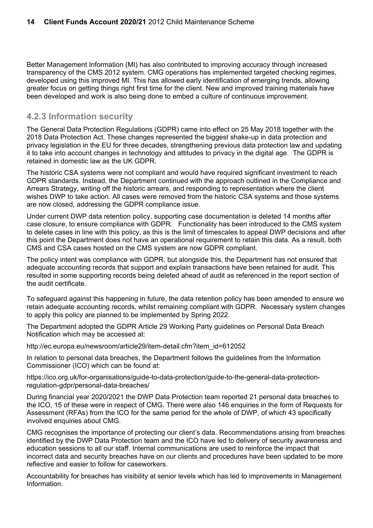Better Management Information (MI) has also contributed to improving accuracy through increased transparency of the CMS 2012 system. CMG operations has implemented targeted checking regimes, developed using this improved MI. This has allowed early identification of emerging trends, allowing greater focus on getting things right first time for the client. New and improved training materials have been developed and work is also being done to embed a culture of continuous improvement.

#### **4.2.3 Information security**

The General Data Protection Regulations (GDPR) came into effect on 25 May 2018 together with the 2018 Data Protection Act. These changes represented the biggest shake-up in data protection and privacy legislation in the EU for three decades, strengthening previous data protection law and updating it to take into account changes in technology and attitudes to privacy in the digital age. The GDPR is retained in domestic law as the UK GDPR.

The historic CSA systems were not compliant and would have required significant investment to reach GDPR standards. Instead, the Department continued with the approach outlined in the Compliance and Arrears Strategy, writing off the historic arrears, and responding to representation where the client wishes DWP to take action. All cases were removed from the historic CSA systems and those systems are now closed, addressing the GDPR compliance issue.

Under current DWP data retention policy, supporting case documentation is deleted 14 months after case closure, to ensure compliance with GDPR. Functionality has been introduced to the CMS system to delete cases in line with this policy, as this is the limit of timescales to appeal DWP decisions and after this point the Department does not have an operational requirement to retain this data. As a result, both CMS and CSA cases hosted on the CMS system are now GDPR compliant.

The policy intent was compliance with GDPR, but alongside this, the Department has not ensured that adequate accounting records that support and explain transactions have been retained for audit. This resulted in some supporting records being deleted ahead of audit as referenced in the report section of the audit certificate.

To safeguard against this happening in future, the data retention policy has been amended to ensure we retain adequate accounting records, whilst remaining compliant with GDPR. Necessary system changes to apply this policy are planned to be implemented by Spring 2022.

The Department adopted the GDPR Article 29 Working Party guidelines on Personal Data Breach Notification which may be accessed at:

[http://ec.europa.eu/newsroom/article29/item-detail.cfm?item\\_id=612052](http://ec.europa.eu/newsroom/article29/item-detail.cfm?item_id=612052)

In relation to personal data breaches, the Department follows the guidelines from the Information Commissioner (ICO) which can be found at:

[https://ico.org.uk/for-organisations/guide-to-data-protection/guide-to-the-general-data-protection](https://ico.org.uk/for-organisations/guide-to-data-protection/guide-to-the-general-data-protection-regulation-gdpr/personal-data-breaches/)[regulation-gdpr/personal-data-breaches/](https://ico.org.uk/for-organisations/guide-to-data-protection/guide-to-the-general-data-protection-regulation-gdpr/personal-data-breaches/)

During financial year 2020/2021 the DWP Data Protection team reported 21 personal data breaches to the ICO, 15 of these were in respect of CMG. There were also 146 enquiries in the form of Requests for Assessment (RFAs) from the ICO for the same period for the whole of DWP, of which 43 specifically involved enquiries about CMG.

CMG recognises the importance of protecting our client's data. Recommendations arising from breaches identified by the DWP Data Protection team and the ICO have led to delivery of security awareness and education sessions to all our staff. Internal communications are used to reinforce the impact that incorrect data and security breaches have on our clients and procedures have been updated to be more reflective and easier to follow for caseworkers.

Accountability for breaches has visibility at senior levels which has led to improvements in Management Information.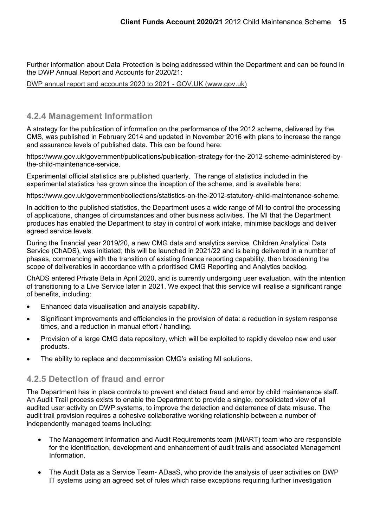Further information about Data Protection is being addressed within the Department and can be found in the DWP Annual Report and Accounts for 2020/21:

[DWP annual report and accounts 2020 to 2021 -](https://www.gov.uk/government/publications/dwp-annual-report-and-accounts-2020-to-2021) GOV.UK (www.gov.uk)

#### **4.2.4 Management Information**

A strategy for the publication of information on the performance of the 2012 scheme, delivered by the CMS, was published in February 2014 and updated in November 2016 with plans to increase the range and assurance levels of published data. This can be found here:

[https://www.gov.uk/government/publications/publication-strategy-for-the-2012-scheme-administered-by](https://www.gov.uk/government/publications/publication-strategy-for-the-2012-scheme-administered-by-the-child-maintenance-service)[the-child-maintenance-service.](https://www.gov.uk/government/publications/publication-strategy-for-the-2012-scheme-administered-by-the-child-maintenance-service) 

Experimental official statistics are published quarterly. The range of statistics included in the experimental statistics has grown since the inception of the scheme, and is available here:

[https://www.gov.uk/government/collections/statistics-on-the-2012-statutory-child-maintenance-scheme.](https://www.gov.uk/government/collections/statistics-on-the-2012-statutory-child-maintenance-scheme)

In addition to the published statistics, the Department uses a wide range of MI to control the processing of applications, changes of circumstances and other business activities. The MI that the Department produces has enabled the Department to stay in control of work intake, minimise backlogs and deliver agreed service levels.

During the financial year 2019/20, a new CMG data and analytics service, Children Analytical Data Service (ChADS), was initiated; this will be launched in 2021/22 and is being delivered in a number of phases, commencing with the transition of existing finance reporting capability, then broadening the scope of deliverables in accordance with a prioritised CMG Reporting and Analytics backlog.

ChADS entered Private Beta in April 2020, and is currently undergoing user evaluation, with the intention of transitioning to a Live Service later in 2021. We expect that this service will realise a significant range of benefits, including:

- Enhanced data visualisation and analysis capability.
- Significant improvements and efficiencies in the provision of data: a reduction in system response times, and a reduction in manual effort / handling.
- Provision of a large CMG data repository, which will be exploited to rapidly develop new end user products.
- The ability to replace and decommission CMG's existing MI solutions.

#### **4.2.5 Detection of fraud and error**

The Department has in place controls to prevent and detect fraud and error by child maintenance staff. An Audit Trail process exists to enable the Department to provide a single, consolidated view of all audited user activity on DWP systems, to improve the detection and deterrence of data misuse. The audit trail provision requires a cohesive collaborative working relationship between a number of independently managed teams including:

- The Management Information and Audit Requirements team (MIART) team who are responsible for the identification, development and enhancement of audit trails and associated Management Information.
- The Audit Data as a Service Team- ADaaS, who provide the analysis of user activities on DWP IT systems using an agreed set of rules which raise exceptions requiring further investigation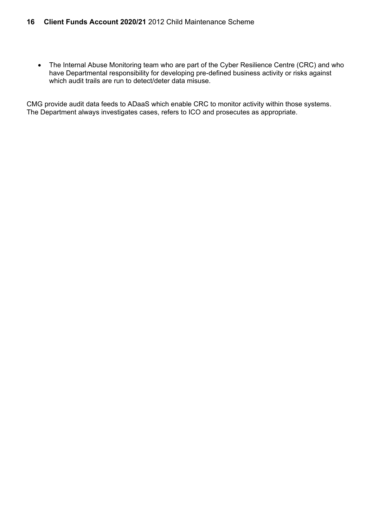• The Internal Abuse Monitoring team who are part of the Cyber Resilience Centre (CRC) and who have Departmental responsibility for developing pre-defined business activity or risks against which audit trails are run to detect/deter data misuse.

CMG provide audit data feeds to ADaaS which enable CRC to monitor activity within those systems. The Department always investigates cases, refers to ICO and prosecutes as appropriate.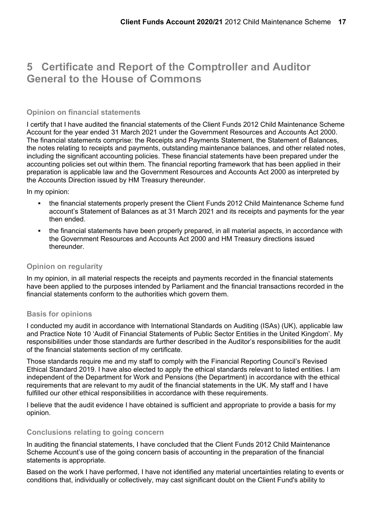## **5 Certificate and Report of the Comptroller and Auditor General to the House of Commons**

#### **Opinion on financial statements**

I certify that I have audited the financial statements of the Client Funds 2012 Child Maintenance Scheme Account for the year ended 31 March 2021 under the Government Resources and Accounts Act 2000. The financial statements comprise: the Receipts and Payments Statement, the Statement of Balances, the notes relating to receipts and payments, outstanding maintenance balances, and other related notes, including the significant accounting policies. These financial statements have been prepared under the accounting policies set out within them. The financial reporting framework that has been applied in their preparation is applicable law and the Government Resources and Accounts Act 2000 as interpreted by the Accounts Direction issued by HM Treasury thereunder.

In my opinion:

- the financial statements properly present the Client Funds 2012 Child Maintenance Scheme fund account's Statement of Balances as at 31 March 2021 and its receipts and payments for the year then ended.
- the financial statements have been properly prepared, in all material aspects, in accordance with the Government Resources and Accounts Act 2000 and HM Treasury directions issued thereunder.

#### **Opinion on regularity**

In my opinion, in all material respects the receipts and payments recorded in the financial statements have been applied to the purposes intended by Parliament and the financial transactions recorded in the financial statements conform to the authorities which govern them.

#### **Basis for opinions**

I conducted my audit in accordance with International Standards on Auditing (ISAs) (UK), applicable law and Practice Note 10 'Audit of Financial Statements of Public Sector Entities in the United Kingdom'. My responsibilities under those standards are further described in the Auditor's responsibilities for the audit of the financial statements section of my certificate.

Those standards require me and my staff to comply with the Financial Reporting Council's Revised Ethical Standard 2019. I have also elected to apply the ethical standards relevant to listed entities. I am independent of the Department for Work and Pensions (the Department) in accordance with the ethical requirements that are relevant to my audit of the financial statements in the UK. My staff and I have fulfilled our other ethical responsibilities in accordance with these requirements.

I believe that the audit evidence I have obtained is sufficient and appropriate to provide a basis for my opinion.

#### **Conclusions relating to going concern**

In auditing the financial statements, I have concluded that the Client Funds 2012 Child Maintenance Scheme Account's use of the going concern basis of accounting in the preparation of the financial statements is appropriate.

Based on the work I have performed, I have not identified any material uncertainties relating to events or conditions that, individually or collectively, may cast significant doubt on the Client Fund's ability to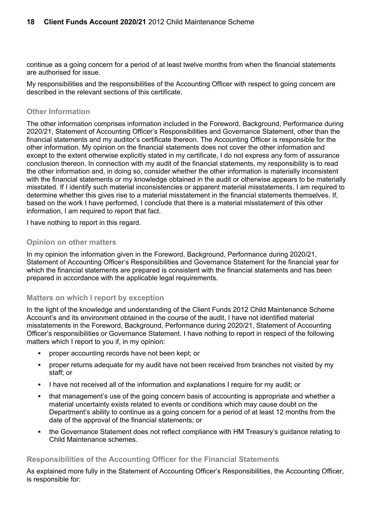continue as a going concern for a period of at least twelve months from when the financial statements are authorised for issue.

My responsibilities and the responsibilities of the Accounting Officer with respect to going concern are described in the relevant sections of this certificate.

#### **Other Information**

The other information comprises information included in the Foreword, Background, Performance during 2020/21, Statement of Accounting Officer's Responsibilities and Governance Statement, other than the financial statements and my auditor's certificate thereon. The Accounting Officer is responsible for the other information. My opinion on the financial statements does not cover the other information and except to the extent otherwise explicitly stated in my certificate, I do not express any form of assurance conclusion thereon. In connection with my audit of the financial statements, my responsibility is to read the other information and, in doing so, consider whether the other information is materially inconsistent with the financial statements or my knowledge obtained in the audit or otherwise appears to be materially misstated. If I identify such material inconsistencies or apparent material misstatements, I am required to determine whether this gives rise to a material misstatement in the financial statements themselves. If, based on the work I have performed, I conclude that there is a material misstatement of this other information, I am required to report that fact.

I have nothing to report in this regard.

#### **Opinion on other matters**

In my opinion the information given in the Foreword, Background, Performance during 2020/21, Statement of Accounting Officer's Responsibilities and Governance Statement for the financial year for which the financial statements are prepared is consistent with the financial statements and has been prepared in accordance with the applicable legal requirements.

#### **Matters on which I report by exception**

In the light of the knowledge and understanding of the Client Funds 2012 Child Maintenance Scheme Account's and its environment obtained in the course of the audit, I have not identified material misstatements in the Foreword, Background, Performance during 2020/21, Statement of Accounting Officer's responsibilities or Governance Statement. I have nothing to report in respect of the following matters which I report to you if, in my opinion:

- **•** proper accounting records have not been kept; or
- **•** proper returns adequate for my audit have not been received from branches not visited by my staff; or
- **EXECT** I have not received all of the information and explanations I require for my audit; or
- that management's use of the going concern basis of accounting is appropriate and whether a material uncertainty exists related to events or conditions which may cause doubt on the Department's ability to continue as a going concern for a period of at least 12 months from the date of the approval of the financial statements; or
- the Governance Statement does not reflect compliance with HM Treasury's guidance relating to Child Maintenance schemes.

#### **Responsibilities of the Accounting Officer for the Financial Statements**

As explained more fully in the Statement of Accounting Officer's Responsibilities, the Accounting Officer, is responsible for: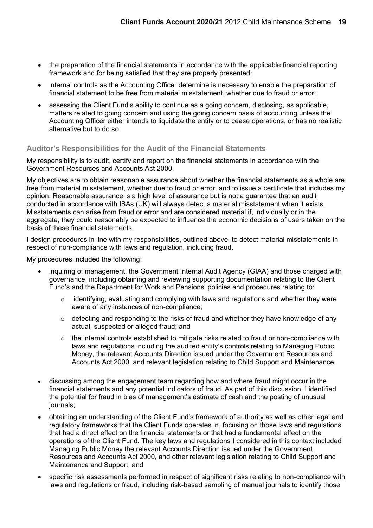- the preparation of the financial statements in accordance with the applicable financial reporting framework and for being satisfied that they are properly presented;
- internal controls as the Accounting Officer determine is necessary to enable the preparation of financial statement to be free from material misstatement, whether due to fraud or error;
- assessing the Client Fund's ability to continue as a going concern, disclosing, as applicable, matters related to going concern and using the going concern basis of accounting unless the Accounting Officer either intends to liquidate the entity or to cease operations, or has no realistic alternative but to do so.

#### **Auditor's Responsibilities for the Audit of the Financial Statements**

My responsibility is to audit, certify and report on the financial statements in accordance with the Government Resources and Accounts Act 2000.

My objectives are to obtain reasonable assurance about whether the financial statements as a whole are free from material misstatement, whether due to fraud or error, and to issue a certificate that includes my opinion. Reasonable assurance is a high level of assurance but is not a guarantee that an audit conducted in accordance with ISAs (UK) will always detect a material misstatement when it exists. Misstatements can arise from fraud or error and are considered material if, individually or in the aggregate, they could reasonably be expected to influence the economic decisions of users taken on the basis of these financial statements.

I design procedures in line with my responsibilities, outlined above, to detect material misstatements in respect of non-compliance with laws and regulation, including fraud.

My procedures included the following:

- inquiring of management, the Government Internal Audit Agency (GIAA) and those charged with governance, including obtaining and reviewing supporting documentation relating to the Client Fund's and the Department for Work and Pensions' policies and procedures relating to:
	- $\circ$  identifying, evaluating and complying with laws and regulations and whether they were aware of any instances of non-compliance;
	- o detecting and responding to the risks of fraud and whether they have knowledge of any actual, suspected or alleged fraud; and
	- $\circ$  the internal controls established to mitigate risks related to fraud or non-compliance with laws and regulations including the audited entity's controls relating to Managing Public Money, the relevant Accounts Direction issued under the Government Resources and Accounts Act 2000, and relevant legislation relating to Child Support and Maintenance.
- discussing among the engagement team regarding how and where fraud might occur in the financial statements and any potential indicators of fraud. As part of this discussion, I identified the potential for fraud in bias of management's estimate of cash and the posting of unusual journals;
- obtaining an understanding of the Client Fund's framework of authority as well as other legal and regulatory frameworks that the Client Funds operates in, focusing on those laws and regulations that had a direct effect on the financial statements or that had a fundamental effect on the operations of the Client Fund. The key laws and regulations I considered in this context included Managing Public Money the relevant Accounts Direction issued under the Government Resources and Accounts Act 2000, and other relevant legislation relating to Child Support and Maintenance and Support; and
- specific risk assessments performed in respect of significant risks relating to non-compliance with laws and regulations or fraud, including risk-based sampling of manual journals to identify those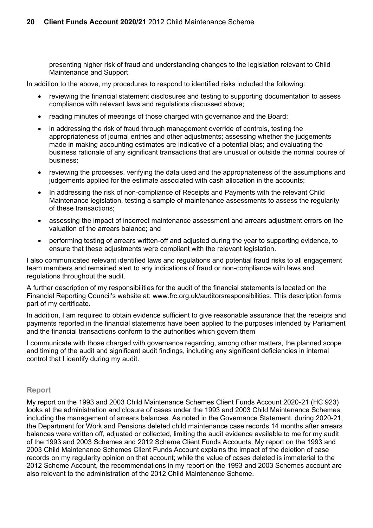presenting higher risk of fraud and understanding changes to the legislation relevant to Child Maintenance and Support.

In addition to the above, my procedures to respond to identified risks included the following:

- reviewing the financial statement disclosures and testing to supporting documentation to assess compliance with relevant laws and regulations discussed above;
- reading minutes of meetings of those charged with governance and the Board;
- in addressing the risk of fraud through management override of controls, testing the appropriateness of journal entries and other adjustments; assessing whether the judgements made in making accounting estimates are indicative of a potential bias; and evaluating the business rationale of any significant transactions that are unusual or outside the normal course of business;
- reviewing the processes, verifying the data used and the appropriateness of the assumptions and judgements applied for the estimate associated with cash allocation in the accounts;
- In addressing the risk of non-compliance of Receipts and Payments with the relevant Child Maintenance legislation, testing a sample of maintenance assessments to assess the regularity of these transactions;
- assessing the impact of incorrect maintenance assessment and arrears adjustment errors on the valuation of the arrears balance; and
- performing testing of arrears written-off and adjusted during the year to supporting evidence, to ensure that these adjustments were compliant with the relevant legislation.

I also communicated relevant identified laws and regulations and potential fraud risks to all engagement team members and remained alert to any indications of fraud or non-compliance with laws and regulations throughout the audit.

A further description of my responsibilities for the audit of the financial statements is located on the Financial Reporting Council's website at: [www.frc.org.uk/auditorsresponsibilities.](https://www.frc.org.uk/auditors/audit-assurance/auditor-s-responsibilities-for-the-audit-of-the-fi/description-of-the-auditor%e2%80%99s-responsibilities-for) This description forms part of my certificate.

In addition, I am required to obtain evidence sufficient to give reasonable assurance that the receipts and payments reported in the financial statements have been applied to the purposes intended by Parliament and the financial transactions conform to the authorities which govern them

I communicate with those charged with governance regarding, among other matters, the planned scope and timing of the audit and significant audit findings, including any significant deficiencies in internal control that I identify during my audit.

#### **Report**

My report on the 1993 and 2003 Child Maintenance Schemes Client Funds Account 2020-21 (HC 923) looks at the administration and closure of cases under the 1993 and 2003 Child Maintenance Schemes, including the management of arrears balances. As noted in the Governance Statement, during 2020-21, the Department for Work and Pensions deleted child maintenance case records 14 months after arrears balances were written off, adjusted or collected, limiting the audit evidence available to me for my audit of the 1993 and 2003 Schemes and 2012 Scheme Client Funds Accounts. My report on the 1993 and 2003 Child Maintenance Schemes Client Funds Account explains the impact of the deletion of case records on my regularity opinion on that account; while the value of cases deleted is immaterial to the 2012 Scheme Account, the recommendations in my report on the 1993 and 2003 Schemes account are also relevant to the administration of the 2012 Child Maintenance Scheme.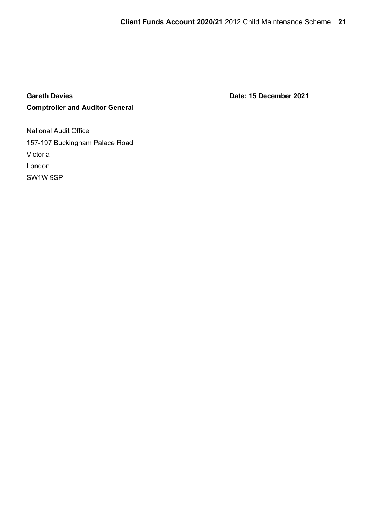#### **Gareth Davies Gareth Davies Date: 15 December 2021 Comptroller and Auditor General**

National Audit Office 157-197 Buckingham Palace Road Victoria London SW1W 9SP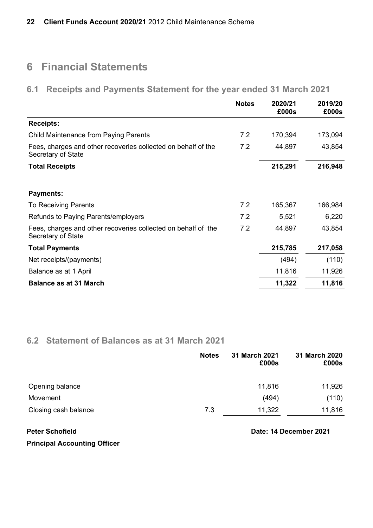## **6 Financial Statements**

#### **6.1 Receipts and Payments Statement for the year ended 31 March 2021**

|                                                                                     | <b>Notes</b> | 2020/21<br>£000s | 2019/20<br>£000s |
|-------------------------------------------------------------------------------------|--------------|------------------|------------------|
| <b>Receipts:</b>                                                                    |              |                  |                  |
| Child Maintenance from Paying Parents                                               | 7.2          | 170,394          | 173,094          |
| Fees, charges and other recoveries collected on behalf of the<br>Secretary of State | 7.2          | 44,897           | 43,854           |
| <b>Total Receipts</b>                                                               |              | 215,291          | 216,948          |
| <b>Payments:</b>                                                                    |              |                  |                  |
| To Receiving Parents                                                                | 7.2          | 165,367          | 166,984          |
| Refunds to Paying Parents/employers                                                 | 7.2          | 5,521            | 6,220            |
| Fees, charges and other recoveries collected on behalf of the<br>Secretary of State | 7.2          | 44,897           | 43,854           |
| <b>Total Payments</b>                                                               |              | 215,785          | 217,058          |
| Net receipts/(payments)                                                             |              | (494)            | (110)            |
| Balance as at 1 April                                                               |              | 11,816           | 11,926           |
| <b>Balance as at 31 March</b>                                                       |              | 11,322           | 11,816           |

### **6.2 Statement of Balances as at 31 March 2021**

|                      | <b>Notes</b> | 31 March 2021<br>£000s | 31 March 2020<br>£000s |
|----------------------|--------------|------------------------|------------------------|
| Opening balance      |              | 11,816                 | 11,926                 |
| Movement             |              | (494)                  | (110)                  |
| Closing cash balance | 7.3          | 11,322                 | 11,816                 |

Peter Schofield **Date: 14 December 2021** 

**Principal Accounting Officer**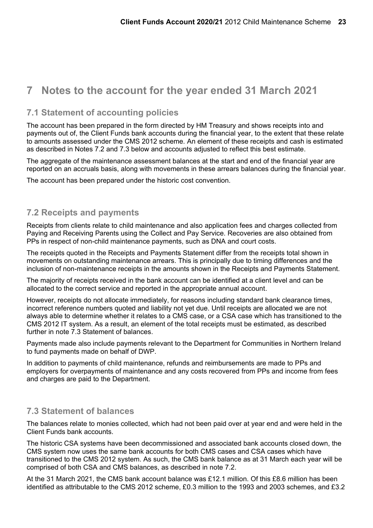## **7 Notes to the account for the year ended 31 March 2021**

#### **7.1 Statement of accounting policies**

The account has been prepared in the form directed by HM Treasury and shows receipts into and payments out of, the Client Funds bank accounts during the financial year, to the extent that these relate to amounts assessed under the CMS 2012 scheme. An element of these receipts and cash is estimated as described in Notes 7.2 and 7.3 below and accounts adjusted to reflect this best estimate.

The aggregate of the maintenance assessment balances at the start and end of the financial year are reported on an accruals basis, along with movements in these arrears balances during the financial year.

The account has been prepared under the historic cost convention.

#### **7.2 Receipts and payments**

Receipts from clients relate to child maintenance and also application fees and charges collected from Paying and Receiving Parents using the Collect and Pay Service. Recoveries are also obtained from PPs in respect of non-child maintenance payments, such as DNA and court costs.

The receipts quoted in the Receipts and Payments Statement differ from the receipts total shown in movements on outstanding maintenance arrears. This is principally due to timing differences and the inclusion of non-maintenance receipts in the amounts shown in the Receipts and Payments Statement.

The majority of receipts received in the bank account can be identified at a client level and can be allocated to the correct service and reported in the appropriate annual account.

However, receipts do not allocate immediately, for reasons including standard bank clearance times, incorrect reference numbers quoted and liability not yet due. Until receipts are allocated we are not always able to determine whether it relates to a CMS case, or a CSA case which has transitioned to the CMS 2012 IT system. As a result, an element of the total receipts must be estimated, as described further in note 7.3 [Statement of balances.](#page-26-0)

Payments made also include payments relevant to the Department for Communities in Northern Ireland to fund payments made on behalf of DWP.

In addition to payments of child maintenance, refunds and reimbursements are made to PPs and employers for overpayments of maintenance and any costs recovered from PPs and income from fees and charges are paid to the Department.

#### <span id="page-26-0"></span>**7.3 Statement of balances**

The balances relate to monies collected, which had not been paid over at year end and were held in the Client Funds bank accounts.

The historic CSA systems have been decommissioned and associated bank accounts closed down, the CMS system now uses the same bank accounts for both CMS cases and CSA cases which have transitioned to the CMS 2012 system. As such, the CMS bank balance as at 31 March each year will be comprised of both CSA and CMS balances, as described in note 7.2.

At the 31 March 2021, the CMS bank account balance was £12.1 million. Of this £8.6 million has been identified as attributable to the CMS 2012 scheme, £0.3 million to the 1993 and 2003 schemes, and £3.2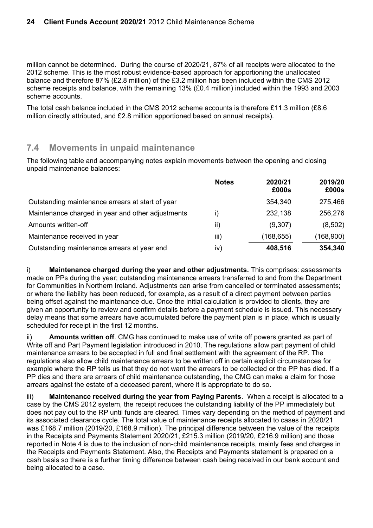million cannot be determined. During the course of 2020/21, 87% of all receipts were allocated to the 2012 scheme. This is the most robust evidence-based approach for apportioning the unallocated balance and therefore 87% (£2.8 million) of the £3.2 million has been included within the CMS 2012 scheme receipts and balance, with the remaining 13% (£0.4 million) included within the 1993 and 2003 scheme accounts.

The total cash balance included in the CMS 2012 scheme accounts is therefore £11.3 million (£8.6 million directly attributed, and £2.8 million apportioned based on annual receipts).

#### <span id="page-27-0"></span>**7.4 Movements in unpaid maintenance**

The following table and accompanying notes explain movements between the opening and closing unpaid maintenance balances:

|                                                   | <b>Notes</b> | 2020/21<br>£000s | 2019/20<br>£000s |
|---------------------------------------------------|--------------|------------------|------------------|
| Outstanding maintenance arrears at start of year  |              | 354,340          | 275,466          |
| Maintenance charged in year and other adjustments |              | 232,138          | 256,276          |
| Amounts written-off                               | ii)          | (9,307)          | (8,502)          |
| Maintenance received in year                      | iii)         | (168, 655)       | (168,900)        |
| Outstanding maintenance arrears at year end       | iv)          | 408,516          | 354,340          |

i) **Maintenance charged during the year and other adjustments.** This comprises: assessments made on PPs during the year; outstanding maintenance arrears transferred to and from the Department for Communities in Northern Ireland. Adjustments can arise from cancelled or terminated assessments; or where the liability has been reduced, for example, as a result of a direct payment between parties being offset against the maintenance due. Once the initial calculation is provided to clients, they are given an opportunity to review and confirm details before a payment schedule is issued. This necessary delay means that some arrears have accumulated before the payment plan is in place, which is usually scheduled for receipt in the first 12 months.

ii) **Amounts written off**. CMG has continued to make use of write off powers granted as part of Write off and Part Payment legislation introduced in 2010. The regulations allow part payment of child maintenance arrears to be accepted in full and final settlement with the agreement of the RP. The regulations also allow child maintenance arrears to be written off in certain explicit circumstances for example where the RP tells us that they do not want the arrears to be collected or the PP has died. If a PP dies and there are arrears of child maintenance outstanding, the CMG can make a claim for those arrears against the estate of a deceased parent, where it is appropriate to do so.

iii) **Maintenance received during the year from Paying Parents**. When a receipt is allocated to a case by the CMS 2012 system, the receipt reduces the outstanding liability of the PP immediately but does not pay out to the RP until funds are cleared. Times vary depending on the method of payment and its associated clearance cycle. The total value of maintenance receipts allocated to cases in 2020/21 was £168.7 million (2019/20, £168.9 million). The principal difference between the value of the receipts in the Receipts and Payments Statement 2020/21, £215.3 million (2019/20, £216.9 million) and those reported in Note 4 is due to the inclusion of non-child maintenance receipts, mainly fees and charges in the Receipts and Payments Statement. Also, the Receipts and Payments statement is prepared on a cash basis so there is a further timing difference between cash being received in our bank account and being allocated to a case.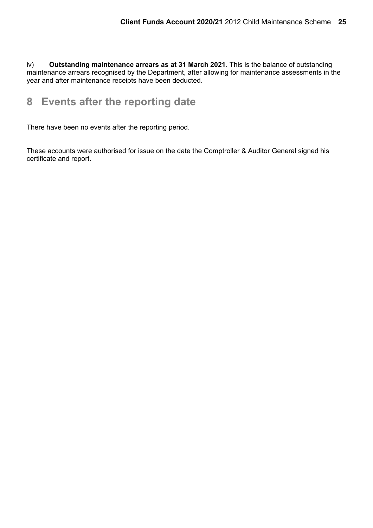iv) **Outstanding maintenance arrears as at 31 March 2021**. This is the balance of outstanding maintenance arrears recognised by the Department, after allowing for maintenance assessments in the year and after maintenance receipts have been deducted.

## **8 Events after the reporting date**

There have been no events after the reporting period.

These accounts were authorised for issue on the date the Comptroller & Auditor General signed his certificate and report.